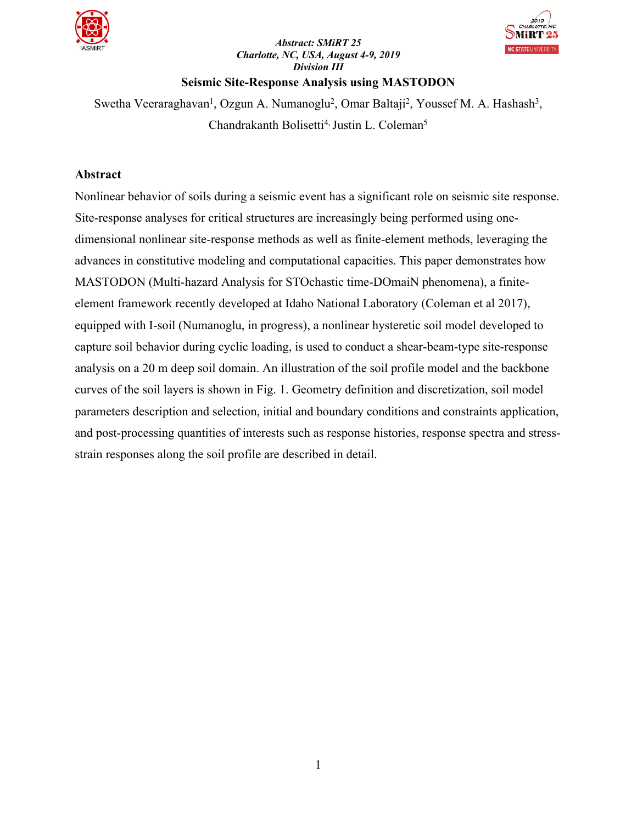

## *Abstract: SMiRT 25 Charlotte, NC, USA, August 4-9, 2019 Division III*



## **Seismic Site-Response Analysis using MASTODON**

Swetha Veeraraghavan<sup>1</sup>, Ozgun A. Numanoglu<sup>2</sup>, Omar Baltaji<sup>2</sup>, Youssef M. A. Hashash<sup>3</sup>, Chandrakanth Bolisetti<sup>4, Justin L. Coleman<sup>5</sup></sup>

## **Abstract**

Nonlinear behavior of soils during a seismic event has a significant role on seismic site response. Site-response analyses for critical structures are increasingly being performed using onedimensional nonlinear site-response methods as well as finite-element methods, leveraging the advances in constitutive modeling and computational capacities. This paper demonstrates how MASTODON (Multi-hazard Analysis for STOchastic time-DOmaiN phenomena), a finiteelement framework recently developed at Idaho National Laboratory (Coleman et al 2017), equipped with I-soil (Numanoglu, in progress), a nonlinear hysteretic soil model developed to capture soil behavior during cyclic loading, is used to conduct a shear-beam-type site-response analysis on a 20 m deep soil domain. An illustration of the soil profile model and the backbone curves of the soil layers is shown in Fig. 1. Geometry definition and discretization, soil model parameters description and selection, initial and boundary conditions and constraints application, and post-processing quantities of interests such as response histories, response spectra and stressstrain responses along the soil profile are described in detail.